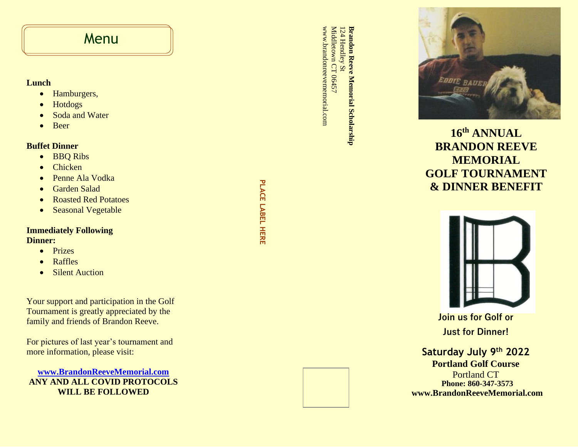## **Menu**

## **Lunch**

- Hamburgers,
- Hotdogs
- Soda and Water
- Beer

## **Buffet Dinner**

- BBQ Ribs
- Chicken
- Penne Ala Vodka
- Garden Salad
- Roasted Red Potatoes
- Seasonal Vegetable

### **Immediately Following Dinner:**

- Prizes
- Raffles
- Silent Auction

Your support and participation in the Golf Tournament is greatly appreciated by the family and friends of Brandon Reeve.

For pictures of last year's tournament and more information, please visit:

**[www.BrandonReeveMemorial.com](http://www.brandonreevememorial.com/) ANY AND ALL COVID PROTOCOLS WILL BE FOLLOWED**

**PLACE LABEL PLACE LABEL HERE**  www.brandonreevememorial.com www.brandonreevememorial.com Middletown CT 06457 **Brandon Reeve Memorial Scholarship Brandon Reeve Memorial Scholarship** 124 Hendley St 24 Hendley St town CT 06457



**1 6 th ANNUAL BRANDON REEVE MEMORIAL GOLF TOURNAMENT & DINNER BENEFIT** 



**Join us for Golf or Just for Dinner!** 

**Phone: 860 -34 7 -3573 www.BrandonReeveMemorial.com Saturday July 9th 2022 Portland Golf Course** Portland CT